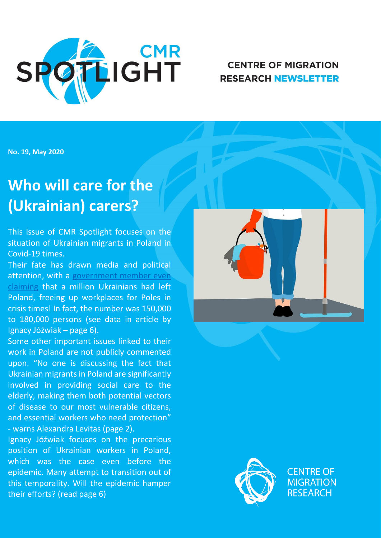

## **CENTRE OF MIGRATION RESEARCH NEWSLETTER**

**No. 19, May 2020**

# **Who will care for the (Ukrainian) carers?**

This issue of CMR Spotlight focuses on the situation of Ukrainian migrants in Poland in Covid-19 times.

Their fate has drawn media and political attention, with a [government member even](https://www.rmf24.pl/fakty/news-jadwiga-emilewicz-wybory-pod-koniec-czerwca-na-poczatku-lipc,nId,4484548)  [claiming](https://www.rmf24.pl/fakty/news-jadwiga-emilewicz-wybory-pod-koniec-czerwca-na-poczatku-lipc,nId,4484548) that a million Ukrainians had left Poland, freeing up workplaces for Poles in crisis times! In fact, the number was 150,000 to 180,000 persons (see data in article by Ignacy Jóźwiak – page 6).

Some other important issues linked to their work in Poland are not publicly commented upon. "No one is discussing the fact that Ukrainian migrants in Poland are significantly involved in providing social care to the elderly, making them both potential vectors of disease to our most vulnerable citizens, and essential workers who need protection" - warns Alexandra Levitas (page 2).

1 their efforts? (read page 6)Ignacy Jóźwiak focuses on the precarious position of Ukrainian workers in Poland, which was the case even before the epidemic. Many attempt to transition out of this temporality. Will the epidemic hamper





**CENTRE OF MIGRATION RESEARCH**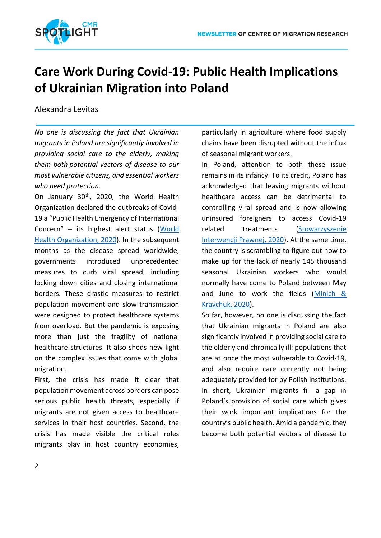

## **Care Work During Covid-19: Public Health Implications of Ukrainian Migration into Poland**

## Alexandra Levitas

*No one is discussing the fact that Ukrainian migrants in Poland are significantly involved in providing social care to the elderly, making them both potential vectors of disease to our most vulnerable citizens, and essential workers who need protection.*

On January 30<sup>th</sup>, 2020, the World Health Organization declared the outbreaks of Covid-19 a "Public Health Emergency of International Concern" – its highest alert status [\(World](https://www.who.int/news-room/detail/30-01-2020-statement-on-the-second-meeting-of-the-international-health-regulations-(2005)-emergency-committee-regarding-the-outbreak-of-novel-coronavirus-(2019-ncov))  [Health Organization, 2020\)](https://www.who.int/news-room/detail/30-01-2020-statement-on-the-second-meeting-of-the-international-health-regulations-(2005)-emergency-committee-regarding-the-outbreak-of-novel-coronavirus-(2019-ncov)). In the subsequent months as the disease spread worldwide, governments introduced unprecedented measures to curb viral spread, including locking down cities and closing international borders. These drastic measures to restrict population movement and slow transmission were designed to protect healthcare systems from overload. But the pandemic is exposing more than just the fragility of national healthcare structures. It also sheds new light on the complex issues that come with global migration.

First, the crisis has made it clear that population movement across borders can pose serious public health threats, especially if migrants are not given access to healthcare services in their host countries. Second, the crisis has made visible the critical roles migrants play in host country economies,

particularly in agriculture where food supply chains have been disrupted without the influx of seasonal migrant workers.

In Poland, attention to both these issue remains in its infancy. To its credit, Poland has acknowledged that leaving migrants without healthcare access can be detrimental to controlling viral spread and is now allowing uninsured foreigners to access Covid-19 related treatments [\(Stowarzyszenie](https://interwencjaprawna.pl/koronawirus-informacje-dla-cudzoziemcow/#pl)  [Interwencji Prawnej, 2020\)](https://interwencjaprawna.pl/koronawirus-informacje-dla-cudzoziemcow/#pl). At the same time, the country is scrambling to figure out how to make up for the lack of nearly 145 thousand seasonal Ukrainian workers who would normally have come to Poland between May and June to work the fields [\(Minich &](https://www.pragueprocess.eu/en/news-events/news/379-news-events-dialogue-migration-observatory-training-academy-resources-admin-the-impact-of-covid-19-on-ukrainian-labour-migrants-in-czechia-hungary-poland-and-italy)  [Kravchuk, 2020\)](https://www.pragueprocess.eu/en/news-events/news/379-news-events-dialogue-migration-observatory-training-academy-resources-admin-the-impact-of-covid-19-on-ukrainian-labour-migrants-in-czechia-hungary-poland-and-italy).

So far, however, no one is discussing the fact that Ukrainian migrants in Poland are also significantly involved in providing social care to the elderly and chronically ill: populations that are at once the most vulnerable to Covid-19, and also require care currently not being adequately provided for by Polish institutions. In short, Ukrainian migrants fill a gap in Poland's provision of social care which gives their work important implications for the country's public health. Amid a pandemic, they become both potential vectors of disease to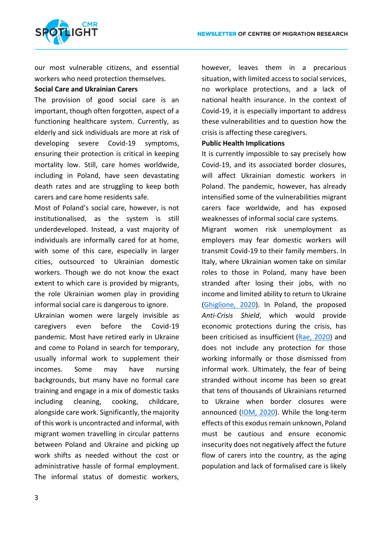

our most vulnerable citizens, and essential workers who need protection themselves.

### **Social Care and Ukrainian Carers**

The provision of good social care is an important, though often forgotten, aspect of a functioning healthcare system. Currently, as elderly and sick individuals are more at risk of developing severe Covid-19 symptoms, ensuring their protection is critical in keeping mortality low. Still, care homes worldwide, including in Poland, have seen devastating death rates and are struggling to keep both carers and care home residents safe.

Most of Poland's social care, however, is not institutionalised, as the system is still underdeveloped. Instead, a vast majority of individuals are informally cared for at home, with some of this care, especially in larger cities, outsourced to Ukrainian domestic workers. Though we do not know the exact extent to which care is provided by migrants, the role Ukrainian women play in providing informal social care is dangerous to ignore.

Ukrainian women were largely invisible as caregivers even before the Covid-19 pandemic. Most have retired early in Ukraine and come to Poland in search for temporary, usually informal work to supplement their incomes. Some may have nursing backgrounds, but many have no formal care training and engage in a mix of domestic tasks including cleaning, cooking, childcare, alongside care work. Significantly, the majority of this work is uncontracted and informal, with migrant women travelling in circular patterns between Poland and Ukraine and picking up work shifts as needed without the cost or administrative hassle of formal employment. The informal status of domestic workers, however, leaves them in a precarious situation, with limited access to social services, no workplace protections, and a lack of national health insurance. In the context of Covid-19, it is especially important to address these vulnerabilities and to question how the crisis is affecting these caregivers.

### **Public Health Implications**

It is currently impossible to say precisely how Covid-19, and its associated border closures, will affect Ukrainian domestic workers in Poland. The pandemic, however, has already intensified some of the vulnerabilities migrant carers face worldwide, and has exposed weaknesses of informal social care systems.

Migrant women risk unemployment as employers may fear domestic workers will transmit Covid-19 to their family members. In Italy, where Ukrainian women take on similar roles to those in Poland, many have been stranded after losing their jobs, with no income and limited ability to return to Ukraine [\(Ghiglione, 2020\)](https://www.aljazeera.com/indepth/features/eastern-european-care-workers-italy-thrust-uncertainty-200424120138957.html). In Poland, the proposed *Anti-Crisis Shield*, which would provide economic protections during the crisis, has been criticised as insufficient [\(Rae, 2020\)](https://prruk.org/facing-the-covid-19-crisis-in-poland/) and does not include any protection for those working informally or those dismissed from informal work. Ultimately, the fear of being stranded without income has been so great that tens of thousands of Ukrainians returned to Ukraine when border closures were announced [\(IOM, 2020\)](https://www.iom.int/news/covid-19-forces-huge-numbers-ukrainians-home-face-fraught-future). While the long-term effects of this exodus remain unknown, Poland must be cautious and ensure economic insecurity does not negatively affect the future flow of carers into the country, as the aging population and lack of formalised care is likely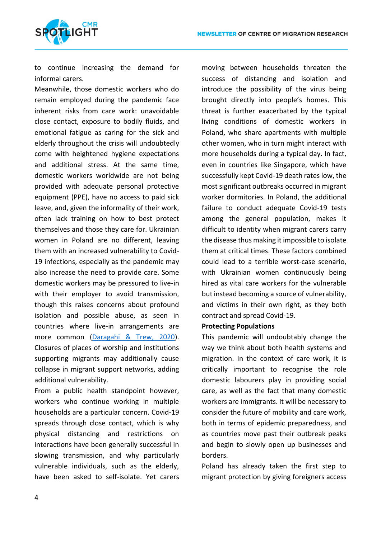

to continue increasing the demand for informal carers.

Meanwhile, those domestic workers who do remain employed during the pandemic face inherent risks from care work: unavoidable close contact, exposure to bodily fluids, and emotional fatigue as caring for the sick and elderly throughout the crisis will undoubtedly come with heightened hygiene expectations and additional stress. At the same time, domestic workers worldwide are not being provided with adequate personal protective equipment (PPE), have no access to paid sick leave, and, given the informality of their work, often lack training on how to best protect themselves and those they care for. Ukrainian women in Poland are no different, leaving them with an increased vulnerability to Covid-19 infections, especially as the pandemic may also increase the need to provide care. Some domestic workers may be pressured to live-in with their employer to avoid transmission, though this raises concerns about profound isolation and possible abuse, as seen in countries where live-in arrangements are more common [\(Daragahi & Trew, 2020\)](file:///C:/Users/Dell/Downloads/1.%09https:/www.independent.co.uk/news/world/middle-east/coronavirus-turkey-migrant-workers-lebanon-human-rights-a9489616.html). Closures of places of worship and institutions supporting migrants may additionally cause collapse in migrant support networks, adding additional vulnerability.

From a public health standpoint however, workers who continue working in multiple households are a particular concern. Covid-19 spreads through close contact, which is why physical distancing and restrictions on interactions have been generally successful in slowing transmission, and why particularly vulnerable individuals, such as the elderly, have been asked to self-isolate. Yet carers moving between households threaten the success of distancing and isolation and introduce the possibility of the virus being brought directly into people's homes. This threat is further exacerbated by the typical living conditions of domestic workers in Poland, who share apartments with multiple other women, who in turn might interact with more households during a typical day. In fact, even in countries like Singapore, which have successfully kept Covid-19 death rates low, the most significant outbreaks occurred in migrant worker dormitories. In Poland, the additional failure to conduct adequate Covid-19 tests among the general population, makes it difficult to identity when migrant carers carry the disease thus making it impossible to isolate them at critical times. These factors combined could lead to a terrible worst-case scenario, with Ukrainian women continuously being hired as vital care workers for the vulnerable but instead becoming a source of vulnerability, and victims in their own right, as they both contract and spread Covid-19.

#### **Protecting Populations**

This pandemic will undoubtably change the way we think about both health systems and migration. In the context of care work, it is critically important to recognise the role domestic labourers play in providing social care, as well as the fact that many domestic workers are immigrants. It will be necessary to consider the future of mobility and care work, both in terms of epidemic preparedness, and as countries move past their outbreak peaks and begin to slowly open up businesses and borders.

Poland has already taken the first step to migrant protection by giving foreigners access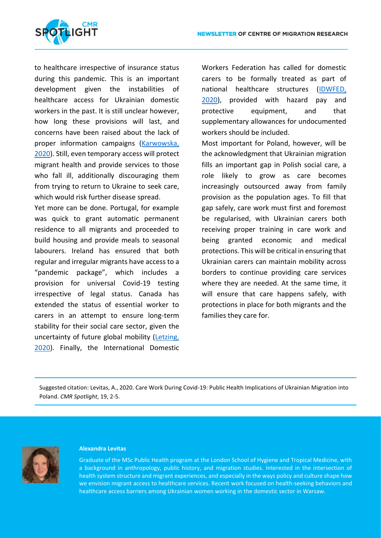

to healthcare irrespective of insurance status during this pandemic. This is an important development given the instabilities of healthcare access for Ukrainian domestic workers in the past. It is still unclear however, how long these provisions will last, and concerns have been raised about the lack of proper information campaigns [\(Karwowska,](https://wyborcza.pl/7,162657,25776782,leczenie-koronawirusa-jest-darmowe-rowniez-dla-cudzoziemcow.html)  [2020\)](https://wyborcza.pl/7,162657,25776782,leczenie-koronawirusa-jest-darmowe-rowniez-dla-cudzoziemcow.html). Still, even temporary access will protect migrant health and provide services to those who fall ill, additionally discouraging them from trying to return to Ukraine to seek care, which would risk further disease spread.

Yet more can be done. Portugal, for example was quick to grant automatic permanent residence to all migrants and proceeded to build housing and provide meals to seasonal labourers. Ireland has ensured that both regular and irregular migrants have access to a "pandemic package", which includes a provision for universal Covid-19 testing irrespective of legal status. Canada has extended the status of essential worker to carers in an attempt to ensure long-term stability for their social care sector, given the uncertainty of future global mobility [\(Letzing,](https://www.weforum.org/agenda/2020/04/covid-19-is-throttling-vital-migration-flows/)  [2020\)](https://www.weforum.org/agenda/2020/04/covid-19-is-throttling-vital-migration-flows/). Finally, the International Domestic Workers Federation has called for domestic carers to be formally treated as part of national healthcare structures [\(IDWFED,](https://idwfed.org/en/updates/global-idwf-statement-on-protecting-domestic-workers-rights-and-fighting-the-coronavirus-pandemic/?fbclid=IwAR19Wcv6Cmj4XfnBO-Y1E8mbsvLQAyvwM1BVJXt49qBK5%E2%80%A6)  [2020\)](https://idwfed.org/en/updates/global-idwf-statement-on-protecting-domestic-workers-rights-and-fighting-the-coronavirus-pandemic/?fbclid=IwAR19Wcv6Cmj4XfnBO-Y1E8mbsvLQAyvwM1BVJXt49qBK5%E2%80%A6), provided with hazard pay and protective equipment, and that supplementary allowances for undocumented workers should be included.

Most important for Poland, however, will be the acknowledgment that Ukrainian migration fills an important gap in Polish social care, a role likely to grow as care becomes increasingly outsourced away from family provision as the population ages. To fill that gap safely, care work must first and foremost be regularised, with Ukrainian carers both receiving proper training in care work and being granted economic and medical protections. This will be critical in ensuring that Ukrainian carers can maintain mobility across borders to continue providing care services where they are needed. At the same time, it will ensure that care happens safely, with protections in place for both migrants and the families they care for.

Suggested citation: Levitas, A., 2020. Care Work During Covid-19: Public Health Implications of Ukrainian Migration into Poland. *CMR Spotlight*, 19, 2-5.



#### **Alexandra Levitas**

Graduate of the MSc Public Health program at the London School of Hygiene and Tropical Medicine, with a background in anthropology, public history, and migration studies. Interested in the intersection of health system structure and migrant experiences, and especially in the ways policy and culture shape how we envision migrant access to healthcare services. Recent work focused on health-seeking behaviors and healthcare access barriers among Ukrainian women working in the domestic sector in Warsaw.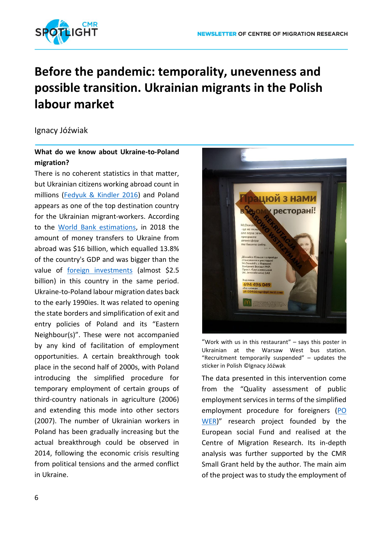

## **Before the pandemic: temporality, unevenness and possible transition. Ukrainian migrants in the Polish labour market**

Ignacy Jóźwiak

## **What do we know about Ukraine-to-Poland migration?**

There is no coherent statistics in that matter, but Ukrainian citizens working abroad count in millions [\(Fedyuk & Kindler 2016\)](https://link.springer.com/chapter/10.1007%2F978-3-319-41776-9_1) and Poland appears as one of the top destination country for the Ukrainian migrant-workers. According to the [World Bank estimations,](https://www.worldbank.org/en/topic/labormarkets/brief/migration-and-remittances) in 2018 the amount of money transfers to Ukraine from abroad was \$16 billion, which equalled 13.8% of the country's GDP and was bigger than the value of [foreign investments](https://data.worldbank.org/indicator/BX.KLT.DINV.WD.GD.ZS) (almost \$2.5 billion) in this country in the same period. Ukraine-to-Poland labour migration dates back to the early 1990ies. It was related to opening the state borders and simplification of exit and entry policies of Poland and its "Eastern Neighbour(s)". These were not accompanied by any kind of facilitation of employment opportunities. A certain breakthrough took place in the second half of 2000s, with Poland introducing the simplified procedure for temporary employment of certain groups of third-country nationals in agriculture (2006) and extending this mode into other sectors (2007). The number of Ukrainian workers in Poland has been gradually increasing but the actual breakthrough could be observed in 2014, following the economic crisis resulting from political tensions and the armed conflict in Ukraine.



"Work with us in this restaurant"  $-$  says this poster in Ukrainian at the Warsaw West bus station. "Recruitment temporarily suspended" – updates the sticker in Polish ©Ignacy Jóźwak

The data presented in this intervention come from the "Quality assessment of public employment services in terms of the simplified employment procedure for foreigners [\(PO](http://www.migracje.uw.edu.pl/projects/quality-assesment-of-public-employment-services-in-terms-of-the-simplified-employment-procedure-for-foreigners-po-wer/)  [WER\)](http://www.migracje.uw.edu.pl/projects/quality-assesment-of-public-employment-services-in-terms-of-the-simplified-employment-procedure-for-foreigners-po-wer/)" research project founded by the European social Fund and realised at the Centre of Migration Research. Its in-depth analysis was further supported by the CMR Small Grant held by the author. The main aim of the project was to study the employment of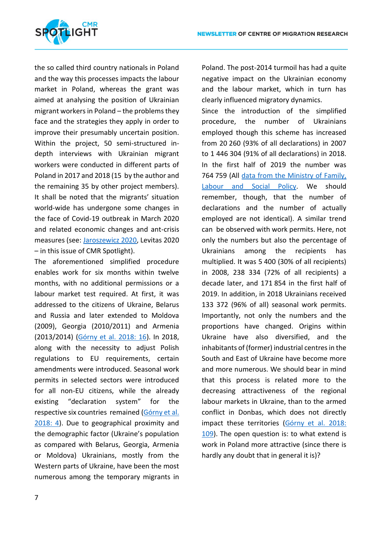

the so called third country nationals in Poland and the way this processes impacts the labour market in Poland, whereas the grant was aimed at analysing the position of Ukrainian migrant workers in Poland – the problems they face and the strategies they apply in order to improve their presumably uncertain position. Within the project, 50 semi-structured indepth interviews with Ukrainian migrant workers were conducted in different parts of Poland in 2017 and 2018 (15 by the author and the remaining 35 by other project members). It shall be noted that the migrants' situation world-wide has undergone some changes in the face of Covid-19 outbreak in March 2020 and related economic changes and ant-crisis measures (see: [Jaroszewicz 2020,](http://www.migracje.uw.edu.pl/wp-content/uploads/2020/04/SPOTLIGHT-APRIL-2020-COVID1-2.pdf) Levitas 2020 – in this issue of CMR Spotlight).

The aforementioned simplified procedure enables work for six months within twelve months, with no additional permissions or a labour market test required. At first, it was addressed to the citizens of Ukraine, Belarus and Russia and later extended to Moldova (2009), Georgia (2010/2011) and Armenia (2013/2014) ([Górny et al. 2018: 16](http://www.migracje.uw.edu.pl/publikacje/imigranci-w-polsce-w-kontekscie-uproszczonej-procedury-zatrudniania-cudzoziemcow/)). In 2018, along with the necessity to adjust Polish regulations to EU requirements, certain amendments were introduced. Seasonal work permits in selected sectors were introduced for all non-EU citizens, while the already existing "declaration system" for the respective six countries remained ([Górny et al.](http://www.migracje.uw.edu.pl/publikacje/imigranci-w-polsce-w-kontekscie-uproszczonej-procedury-zatrudniania-cudzoziemcow/)  [2018: 4\)](http://www.migracje.uw.edu.pl/publikacje/imigranci-w-polsce-w-kontekscie-uproszczonej-procedury-zatrudniania-cudzoziemcow/). Due to geographical proximity and the demographic factor (Ukraine's population as compared with Belarus, Georgia, Armenia or Moldova) Ukrainians, mostly from the Western parts of Ukraine, have been the most numerous among the temporary migrants in Poland. The post-2014 turmoil has had a quite negative impact on the Ukrainian economy and the labour market, which in turn has clearly influenced migratory dynamics.

Since the introduction of the simplified procedure, the number of Ukrainians employed though this scheme has increased from 20 260 (93% of all declarations) in 2007 to 1 446 304 (91% of all declarations) in 2018. In the first half of 2019 the number was 764 759 (All [data from the Ministry of Family,](http://psz.praca.gov.pl/rynek-pracy/statystyki-i-analizy/zatrudnianie-cudzoziemcow-w-polsce)  [Labour and Social Policy.](http://psz.praca.gov.pl/rynek-pracy/statystyki-i-analizy/zatrudnianie-cudzoziemcow-w-polsce) We should remember, though, that the number of declarations and the number of actually employed are not identical). A similar trend can be observed with work permits. Here, not only the numbers but also the percentage of Ukrainians among the recipients has multiplied. It was 5 400 (30% of all recipients) in 2008, 238 334 (72% of all recipients) a decade later, and 171 854 in the first half of 2019. In addition, in 2018 Ukrainians received 133 372 (96% of all) seasonal work permits. Importantly, not only the numbers and the proportions have changed. Origins within Ukraine have also diversified, and the inhabitants of (former) industrial centres in the South and East of Ukraine have become more and more numerous. We should bear in mind that this process is related more to the decreasing attractiveness of the regional labour markets in Ukraine, than to the armed conflict in Donbas, which does not directly impact these territories (Górny et al. 2018: [109\)](http://www.migracje.uw.edu.pl/publikacje/imigranci-w-polsce-w-kontekscie-uproszczonej-procedury-zatrudniania-cudzoziemcow/). The open question is: to what extend is work in Poland more attractive (since there is hardly any doubt that in general it is)?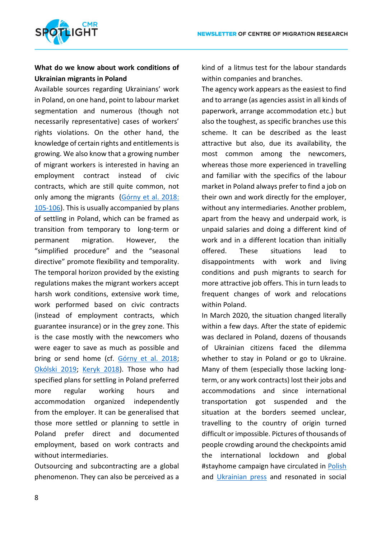

## **What do we know about work conditions of Ukrainian migrants in Poland**

Available sources regarding Ukrainians' work in Poland, on one hand, point to labour market segmentation and numerous (though not necessarily representative) cases of workers' rights violations. On the other hand, the knowledge of certain rights and entitlements is growing. We also know that a growing number of migrant workers is interested in having an employment contract instead of civic contracts, which are still quite common, not only among the migrants ([Górny et al. 2018:](http://www.migracje.uw.edu.pl/publikacje/imigranci-w-polsce-w-kontekscie-uproszczonej-procedury-zatrudniania-cudzoziemcow/)  [105-106\)](http://www.migracje.uw.edu.pl/publikacje/imigranci-w-polsce-w-kontekscie-uproszczonej-procedury-zatrudniania-cudzoziemcow/). This is usually accompanied by plans of settling in Poland, which can be framed as transition from temporary to long-term or permanent migration. However, the "simplified procedure" and the "seasonal directive" promote flexibility and temporality. The temporal horizon provided by the existing regulations makes the migrant workers accept harsh work conditions, extensive work time, work performed based on civic contracts (instead of employment contracts, which guarantee insurance) or in the grey zone. This is the case mostly with the newcomers who were eager to save as much as possible and bring or send home (cf. [Górny et al. 2018](http://www.migracje.uw.edu.pl/publikacje/imigranci-w-polsce-w-kontekscie-uproszczonej-procedury-zatrudniania-cudzoziemcow/); [Okólski 2019](http://www.migracje.uw.edu.pl/publikacje/substytucja-i-dyskryminacja-na-polskim-rynku-pracy-w-sytuacji-nasilonej-imigracji/); [Keryk 2018\)](https://pl.naszwybir.pl/wp-content/uploads/sites/2/2018/03/raport-online-en.pdf). Those who had specified plans for settling in Poland preferred more regular working hours and accommodation organized independently from the employer. It can be generalised that those more settled or planning to settle in Poland prefer direct and documented employment, based on work contracts and without intermediaries.

Outsourcing and subcontracting are a global phenomenon. They can also be perceived as a kind of a litmus test for the labour standards within companies and branches.

The agency work appears as the easiest to find and to arrange (as agencies assist in all kinds of paperwork, arrange accommodation etc.) but also the toughest, as specific branches use this scheme. It can be described as the least attractive but also, due its availability, the most common among the newcomers, whereas those more experienced in travelling and familiar with the specifics of the labour market in Poland always prefer to find a job on their own and work directly for the employer, without any intermediaries. Another problem, apart from the heavy and underpaid work, is unpaid salaries and doing a different kind of work and in a different location than initially offered. These situations lead to disappointments with work and living conditions and push migrants to search for more attractive job offers. This in turn leads to frequent changes of work and relocations within Poland.

In March 2020, the situation changed literally within a few days. After the state of epidemic was declared in Poland, dozens of thousands of Ukrainian citizens faced the dilemma whether to stay in Poland or go to Ukraine. Many of them (especially those lacking longterm, or any work contracts) lost their jobs and accommodations and since international transportation got suspended and the situation at the borders seemed unclear, travelling to the country of origin turned difficult or impossible. Pictures of thousands of people crowding around the checkpoints amid the international lockdown and global #stayhome campaign have circulated in [Polish](https://www.tygodnikpowszechny.pl/polska-choroba-162909?fbclid=IwAR0nS6Q-htlE0LRWIA1chcTj-165sicueAxZ8pb-kNBILEyHX1dytEcvDRg) and [Ukrainian press](https://hromadske.ua/posts/na-kordoni-z-polsheyu-azhiotazh-tisyachi-ukrayinciv-hochut-povernutisya-do-zakrittya-kordonu?tg-group&fbclid=iwar0laqb-5vxrbojlc3mukf-pb-iaabpu8po6rtdubuwt0g62lek6puh4d4m) and resonated in social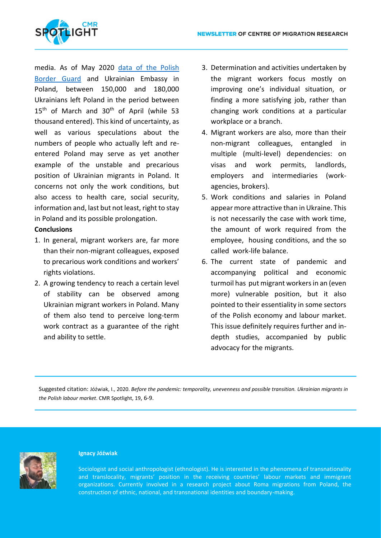

media. As of May 2020 [data of the Polish](https://wiadomosci.onet.pl/kraj/ilu-ukraincow-opuscilo-polske-z-powodu-pandemii-koronawirusa/5p3x482)  [Border Guard](https://wiadomosci.onet.pl/kraj/ilu-ukraincow-opuscilo-polske-z-powodu-pandemii-koronawirusa/5p3x482) and Ukrainian Embassy in Poland, between 150,000 and 180,000 Ukrainians left Poland in the period between 15<sup>th</sup> of March and 30<sup>th</sup> of April (while 53 thousand entered). This kind of uncertainty, as well as various speculations about the numbers of people who actually left and reentered Poland may serve as yet another example of the unstable and precarious position of Ukrainian migrants in Poland. It concerns not only the work conditions, but also access to health care, social security, information and, last but not least, right to stay in Poland and its possible prolongation.

### **Conclusions**

- 1. In general, migrant workers are, far more than their non-migrant colleagues, exposed to precarious work conditions and workers' rights violations.
- 2. A growing tendency to reach a certain level of stability can be observed among Ukrainian migrant workers in Poland. Many of them also tend to perceive long-term work contract as a guarantee of the right and ability to settle.
- 3. Determination and activities undertaken by the migrant workers focus mostly on improving one's individual situation, or finding a more satisfying job, rather than changing work conditions at a particular workplace or a branch.
- 4. Migrant workers are also, more than their non-migrant colleagues, entangled in multiple (multi-level) dependencies: on visas and work permits, landlords, employers and intermediaries (workagencies, brokers).
- 5. Work conditions and salaries in Poland appear more attractive than in Ukraine. This is not necessarily the case with work time, the amount of work required from the employee, housing conditions, and the so called work-life balance.
- 6. The current state of pandemic and accompanying political and economic turmoil has put migrant workers in an (even more) vulnerable position, but it also pointed to their essentiality in some sectors of the Polish economy and labour market. This issue definitely requires further and indepth studies, accompanied by public advocacy for the migrants.

Suggested citation: Jóźwiak, I., 2020. *Before the pandemic: temporality, unevenness and possible transition. Ukrainian migrants in the Polish labour market*. CMR Spotlight, 19, 6-9.



#### **Ignacy Jóźwiak**

Sociologist and social anthropologist (ethnologist). He is interested in the phenomena of transnationality and translocality, migrants' position in the receiving countries' labour markets and immigrant organizations. Currently involved in a research project about Roma migrations from Poland, the construction of ethnic, national, and transnational identities and boundary-making.